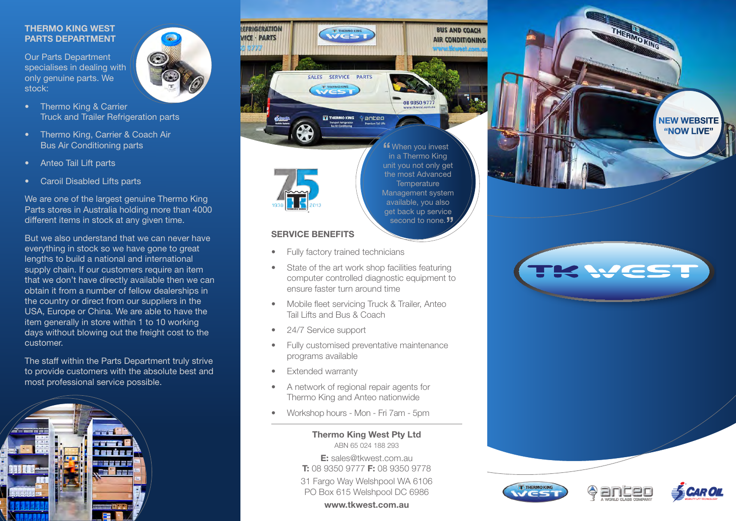### **THERMO KING WEST PARTS DEPARTMENT**

Our Parts Department specialises in dealing with only genuine parts. We stock:



- Thermo King, Carrier & Coach Air Bus Air Conditioning parts
- Anteo Tail Lift parts
- Caroil Disabled Lifts parts

We are one of the largest genuine Thermo King Parts stores in Australia holding more than 4000 different items in stock at any given time.

But we also understand that we can never have everything in stock so we have gone to great lengths to build a national and international supply chain. If our customers require an item that we don't have directly available then we can obtain it from a number of fellow dealerships in the country or direct from our suppliers in the USA, Europe or China. We are able to have the item generally in store within 1 to 10 working days without blowing out the freight cost to the customer.

The staff within the Parts Department truly strive to provide customers with the absolute best and most professional service possible.







second to none.<sup>"</sup> **"** When you invest in a Thermo King in a Thermo King unit you not only get the most Advanced **Temperature** Management system available, you also get back up service

**BUS AND COACH** 

**AIR CONDITIONING** 

## **SERVICE BENEFITS**

- **Fully factory trained technicians**
- State of the art work shop facilities featuring computer controlled diagnostic equipment to ensure faster turn around time
- Mobile fleet servicing Truck & Trailer, Anteo Tail Lifts and Bus & Coach
- 24/7 Service support
- Fully customised preventative maintenance programs available
- Extended warranty
- • A network of regional repair agents for Thermo King and Anteo nationwide
- Workshop hours Mon Fri 7am 5pm

**Thermo King West Pty Ltd**  ABN 65 024 188 293

**E:** sales@tkwest.com.au **T:** 08 9350 9777 **F:** 08 9350 9778

31 Fargo Way Welshpool WA 6106 PO Box 615 Welshpool DC 6986

**www.tkwest.com.au**







**NEW WEBSITE "NOW LIVE"**

THERMO KING

WEST